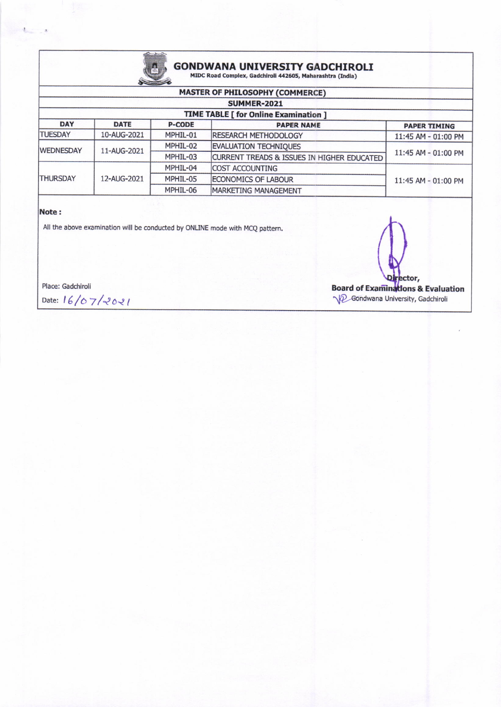

# **GONDWANA UNIVERSITY GADCHIROLI** MIDC Road Complex, Gadchiroli 442605, Maharashtra (India)

| <b>MASTER OF PHILOSOPHY (COMMERCE)</b> |                                              |               |                                            |                     |  |  |  |
|----------------------------------------|----------------------------------------------|---------------|--------------------------------------------|---------------------|--|--|--|
|                                        | <b>SUMMER-2021</b>                           |               |                                            |                     |  |  |  |
|                                        | <b>TIME TABLE [ for Online Examination ]</b> |               |                                            |                     |  |  |  |
| <b>DAY</b>                             | <b>DATE</b>                                  | <b>P-CODE</b> | <b>PAPER NAME</b>                          | <b>PAPER TIMING</b> |  |  |  |
| <b>TUESDAY</b>                         | 10-AUG-2021                                  | MPHIL-01      | <b>IRESEARCH METHODOLOGY</b>               | 11:45 AM - 01:00 PM |  |  |  |
| <b>WEDNESDAY</b>                       | 11-AUG-2021                                  | MPHIL-02      | <b>EVALUATION TECHNIQUES</b>               | 11:45 AM - 01:00 PM |  |  |  |
|                                        |                                              | MPHIL-03      | CURRENT TREADS & ISSUES IN HIGHER EDUCATED |                     |  |  |  |
| <b>THURSDAY</b>                        | 12-AUG-2021                                  | MPHIL-04      | <b>COST ACCOUNTING</b>                     | 11:45 AM - 01:00 PM |  |  |  |
|                                        |                                              | MPHIL-05      | ECONOMICS OF LABOUR                        |                     |  |  |  |
|                                        |                                              | MPHIL-06      | MARKETING MANAGEMENT                       |                     |  |  |  |

#### Note:

All the above examination will be conducted by ONLINE mode with MCQ pattern.

Place: Gadchiroli

Date: 16/07/2021

ector, **Board of Examinations & Evaluation D**Gondwana University, Gadchiroli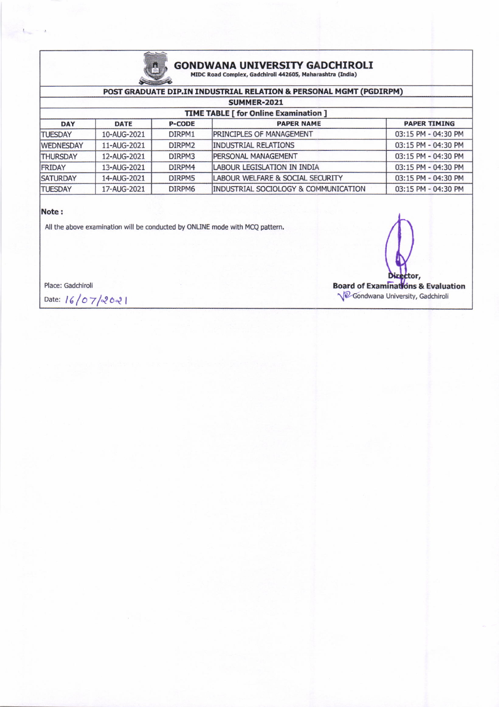

## **GONDWANA UNIVERSITY GADCHIROLI** MIDC Road Complex, Gadchiroli 442605, Maharashtra (India)

### POST GRADUATE DIP.IN INDUSTRIAL RELATION & PERSONAL MGMT (PGDIRPM)

| SUMMER-2021<br><b>TIME TABLE [ for Online Examination ]</b> |             |                    |                                      |                     |  |
|-------------------------------------------------------------|-------------|--------------------|--------------------------------------|---------------------|--|
|                                                             |             |                    |                                      |                     |  |
| <b>TUESDAY</b>                                              | 10-AUG-2021 | DIRPM1             | <b>IPRINCIPLES OF MANAGEMENT</b>     | 03:15 PM - 04:30 PM |  |
| <b>WEDNESDAY</b>                                            | 11-AUG-2021 | DIRPM <sub>2</sub> | <b>INDUSTRIAL RELATIONS</b>          | 03:15 PM - 04:30 PM |  |
| <b>THURSDAY</b>                                             | 12-AUG-2021 | DIRPM3             | <b>IPERSONAL MANAGEMENT</b>          | 03:15 PM - 04:30 PM |  |
| <b>FRIDAY</b>                                               | 13-AUG-2021 | DIRPM4             | <b>LABOUR LEGISLATION IN INDIA</b>   | 03:15 PM - 04:30 PM |  |
| <b>SATURDAY</b>                                             | 14-AUG-2021 | DIRPM5             | LABOUR WELFARE & SOCIAL SECURITY     | 03:15 PM - 04:30 PM |  |
| <b>TUESDAY</b>                                              | 17-AUG-2021 | DIRPM6             | INDUSTRIAL SOCIOLOGY & COMMUNICATION | 03:15 PM - 04:30 PM |  |

#### Note:

All the above examination will be conducted by ONLINE mode with MCQ pattern.

Place: Gadchiroli

Date: 16/07/2021

ttor, **Board of Examinations & Evaluation** Condwana University, Gadchiroli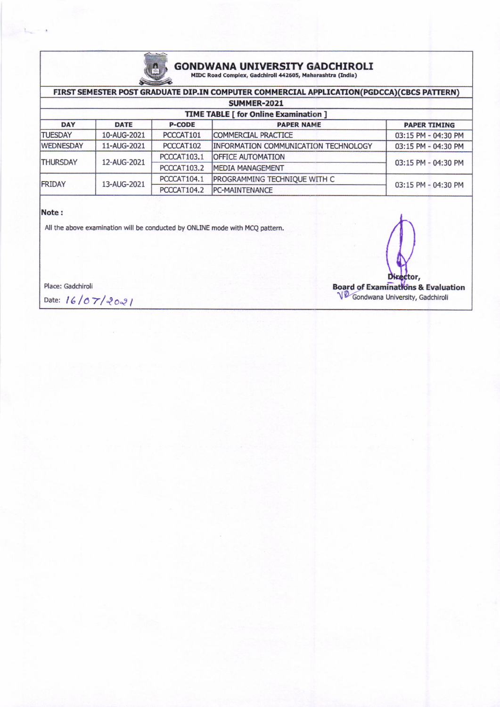

## GONDWANA UNIVERSITY GADCHIROLI<br>MIDC Road Complex, Gadchiroli 442605, Maharashtra (India)

| FIRST SEMESTER POST GRADUATE DIP.IN COMPUTER COMMERCIAL APPLICATION(PGDCCA)(CBCS PATTERN) |             |               |                                             |                     |  |  |
|-------------------------------------------------------------------------------------------|-------------|---------------|---------------------------------------------|---------------------|--|--|
| <b>SUMMER-2021</b>                                                                        |             |               |                                             |                     |  |  |
| <b>TIME TABLE [ for Online Examination ]</b>                                              |             |               |                                             |                     |  |  |
| <b>DAY</b>                                                                                | <b>DATE</b> | <b>P-CODE</b> | <b>PAPER NAME</b>                           | <b>PAPER TIMING</b> |  |  |
| <b>TUESDAY</b>                                                                            | 10-AUG-2021 | PCCCAT101     | COMMERCIAL PRACTICE                         | 03:15 PM - 04:30 PM |  |  |
| <b>WEDNESDAY</b>                                                                          | 11-AUG-2021 | PCCCAT102     | <b>INFORMATION COMMUNICATION TECHNOLOGY</b> | 03:15 PM - 04:30 PM |  |  |
| <b>THURSDAY</b>                                                                           | 12-AUG-2021 | PCCCAT103.1   | <b>OFFICE AUTOMATION</b>                    | 03:15 PM - 04:30 PM |  |  |
|                                                                                           |             | PCCCAT103.2   | MEDIA MANAGEMENT                            |                     |  |  |
| <b>FRIDAY</b>                                                                             | 13-AUG-2021 | PCCCAT104.1   | PROGRAMMING TECHNIQUE WITH C                | 03:15 PM - 04:30 PM |  |  |
|                                                                                           |             | PCCCAT104.2   | <b>PC-MAINTENANCE</b>                       |                     |  |  |

### Note:

All the above examination will be conducted by ONLINE mode with MCQ pattern.

Place: Gadchiroli

Date:  $16/07/2021$ 

tor, Board of Examinations & Evaluation<br>
V Condwana University, Gadchiroli V<sup>O</sup> Gondwana University, Gadchiroli